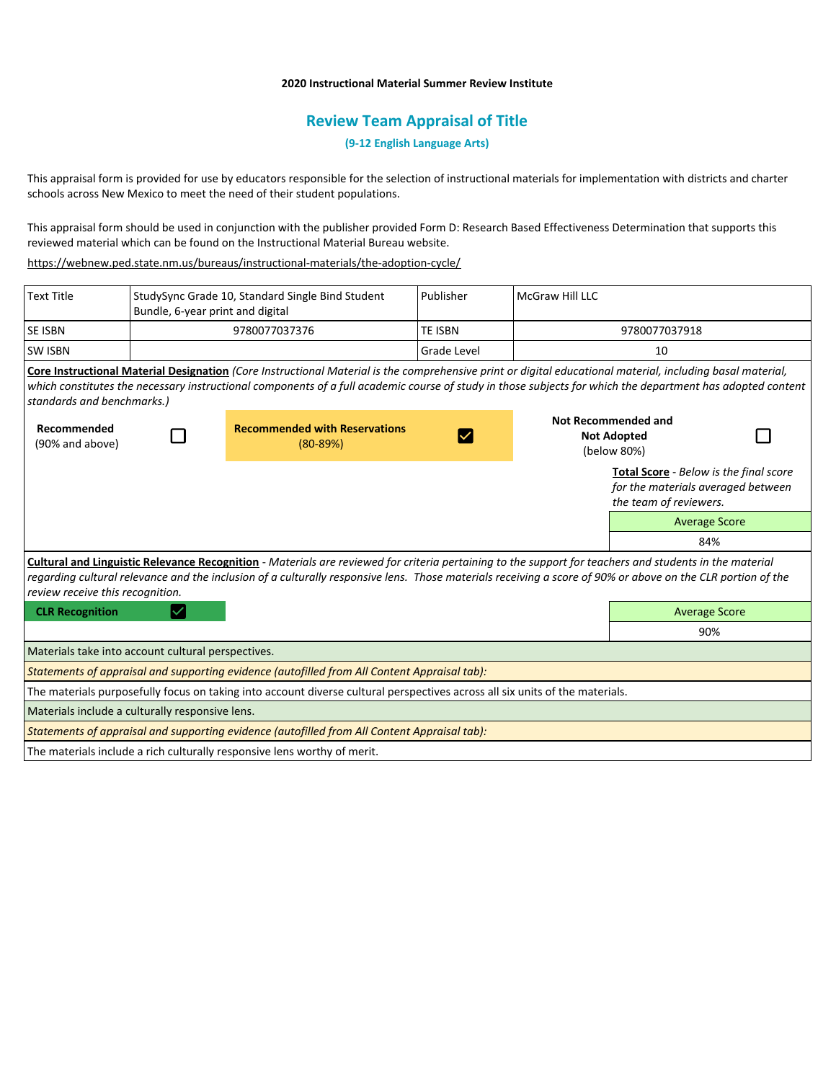## **2020 Instructional Material Summer Review Institute**

# **Review Team Appraisal of Title**

**(9-12 English Language Arts)**

This appraisal form is provided for use by educators responsible for the selection of instructional materials for implementation with districts and charter schools across New Mexico to meet the need of their student populations.

This appraisal form should be used in conjunction with the publisher provided Form D: Research Based Effectiveness Determination that supports this reviewed material which can be found on the Instructional Material Bureau website.

<https://webnew.ped.state.nm.us/bureaus/instructional-materials/the-adoption-cycle/>

| <b>Text Title</b>                                                                                                                                                                                                                                                                                                                                          | Bundle, 6-year print and digital | StudySync Grade 10, Standard Single Bind Student                                                                                                                                                                                                                                                                         | Publisher          | McGraw Hill LLC                                          |                                                                                                        |  |
|------------------------------------------------------------------------------------------------------------------------------------------------------------------------------------------------------------------------------------------------------------------------------------------------------------------------------------------------------------|----------------------------------|--------------------------------------------------------------------------------------------------------------------------------------------------------------------------------------------------------------------------------------------------------------------------------------------------------------------------|--------------------|----------------------------------------------------------|--------------------------------------------------------------------------------------------------------|--|
| SE ISBN                                                                                                                                                                                                                                                                                                                                                    |                                  | 9780077037376                                                                                                                                                                                                                                                                                                            | TE ISBN            | 9780077037918                                            |                                                                                                        |  |
| <b>SW ISBN</b>                                                                                                                                                                                                                                                                                                                                             |                                  |                                                                                                                                                                                                                                                                                                                          | <b>Grade Level</b> | 10                                                       |                                                                                                        |  |
| standards and benchmarks.)                                                                                                                                                                                                                                                                                                                                 |                                  | Core Instructional Material Designation (Core Instructional Material is the comprehensive print or digital educational material, including basal material,<br>which constitutes the necessary instructional components of a full academic course of study in those subjects for which the department has adopted content |                    |                                                          |                                                                                                        |  |
| Recommended<br>(90% and above)                                                                                                                                                                                                                                                                                                                             |                                  | <b>Recommended with Reservations</b><br>$(80 - 89%)$                                                                                                                                                                                                                                                                     |                    | Not Recommended and<br><b>Not Adopted</b><br>(below 80%) |                                                                                                        |  |
|                                                                                                                                                                                                                                                                                                                                                            |                                  |                                                                                                                                                                                                                                                                                                                          |                    |                                                          | Total Score - Below is the final score<br>for the materials averaged between<br>the team of reviewers. |  |
|                                                                                                                                                                                                                                                                                                                                                            |                                  |                                                                                                                                                                                                                                                                                                                          |                    |                                                          | <b>Average Score</b>                                                                                   |  |
|                                                                                                                                                                                                                                                                                                                                                            |                                  |                                                                                                                                                                                                                                                                                                                          |                    |                                                          | 84%                                                                                                    |  |
| Cultural and Linguistic Relevance Recognition - Materials are reviewed for criteria pertaining to the support for teachers and students in the material<br>regarding cultural relevance and the inclusion of a culturally responsive lens. Those materials receiving a score of 90% or above on the CLR portion of the<br>review receive this recognition. |                                  |                                                                                                                                                                                                                                                                                                                          |                    |                                                          |                                                                                                        |  |
| <b>CLR Recognition</b>                                                                                                                                                                                                                                                                                                                                     |                                  |                                                                                                                                                                                                                                                                                                                          |                    |                                                          | <b>Average Score</b>                                                                                   |  |
|                                                                                                                                                                                                                                                                                                                                                            |                                  |                                                                                                                                                                                                                                                                                                                          |                    |                                                          | 90%                                                                                                    |  |
| Materials take into account cultural perspectives.                                                                                                                                                                                                                                                                                                         |                                  |                                                                                                                                                                                                                                                                                                                          |                    |                                                          |                                                                                                        |  |
|                                                                                                                                                                                                                                                                                                                                                            |                                  | Statements of appraisal and supporting evidence (autofilled from All Content Appraisal tab):                                                                                                                                                                                                                             |                    |                                                          |                                                                                                        |  |
|                                                                                                                                                                                                                                                                                                                                                            |                                  | The materials purposefully focus on taking into account diverse cultural perspectives across all six units of the materials.                                                                                                                                                                                             |                    |                                                          |                                                                                                        |  |
| Materials include a culturally responsive lens.                                                                                                                                                                                                                                                                                                            |                                  |                                                                                                                                                                                                                                                                                                                          |                    |                                                          |                                                                                                        |  |
| Statements of appraisal and supporting evidence (autofilled from All Content Appraisal tab):                                                                                                                                                                                                                                                               |                                  |                                                                                                                                                                                                                                                                                                                          |                    |                                                          |                                                                                                        |  |
|                                                                                                                                                                                                                                                                                                                                                            |                                  | The materials include a rich culturally responsive lens worthy of merit.                                                                                                                                                                                                                                                 |                    |                                                          |                                                                                                        |  |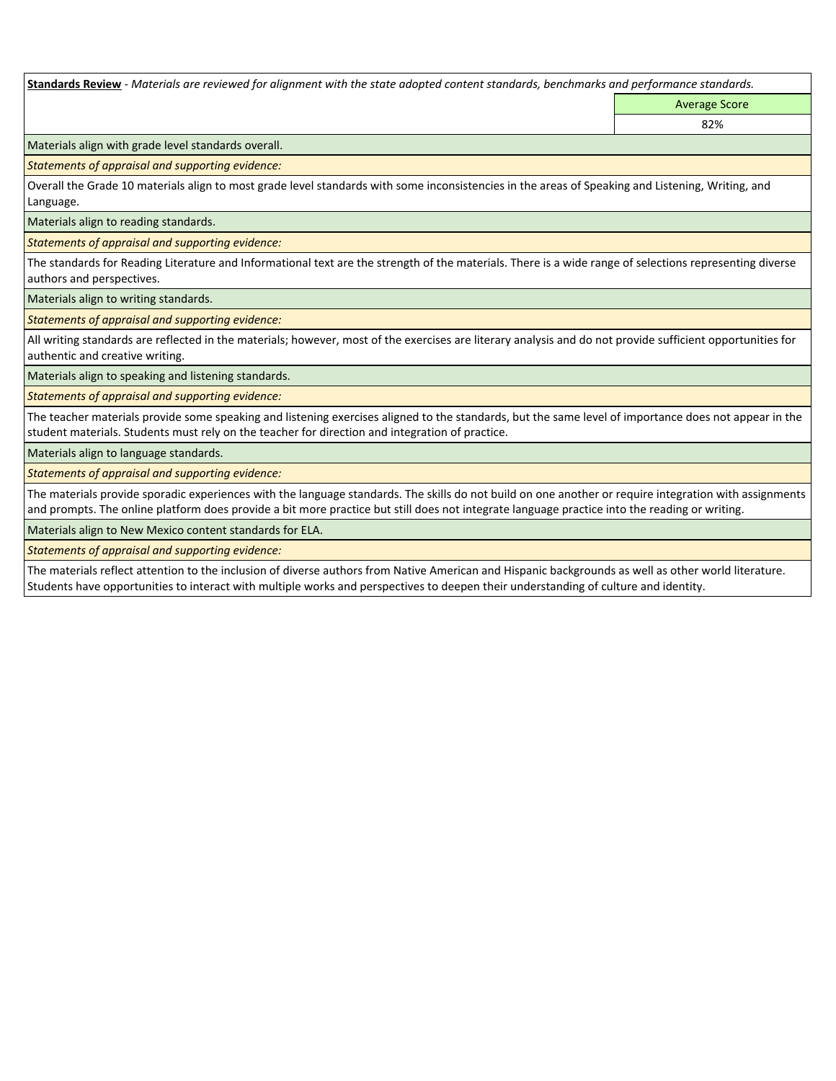**Standards Review** *- Materials are reviewed for alignment with the state adopted content standards, benchmarks and performance standards.*

Average Score 82%

Materials align with grade level standards overall.

*Statements of appraisal and supporting evidence:* 

Overall the Grade 10 materials align to most grade level standards with some inconsistencies in the areas of Speaking and Listening, Writing, and Language.

Materials align to reading standards.

*Statements of appraisal and supporting evidence:* 

The standards for Reading Literature and Informational text are the strength of the materials. There is a wide range of selections representing diverse authors and perspectives.

Materials align to writing standards.

*Statements of appraisal and supporting evidence:* 

All writing standards are reflected in the materials; however, most of the exercises are literary analysis and do not provide sufficient opportunities for authentic and creative writing.

Materials align to speaking and listening standards.

*Statements of appraisal and supporting evidence:* 

The teacher materials provide some speaking and listening exercises aligned to the standards, but the same level of importance does not appear in the student materials. Students must rely on the teacher for direction and integration of practice.

Materials align to language standards.

*Statements of appraisal and supporting evidence:* 

The materials provide sporadic experiences with the language standards. The skills do not build on one another or require integration with assignments and prompts. The online platform does provide a bit more practice but still does not integrate language practice into the reading or writing.

Materials align to New Mexico content standards for ELA.

*Statements of appraisal and supporting evidence:* 

The materials reflect attention to the inclusion of diverse authors from Native American and Hispanic backgrounds as well as other world literature. Students have opportunities to interact with multiple works and perspectives to deepen their understanding of culture and identity.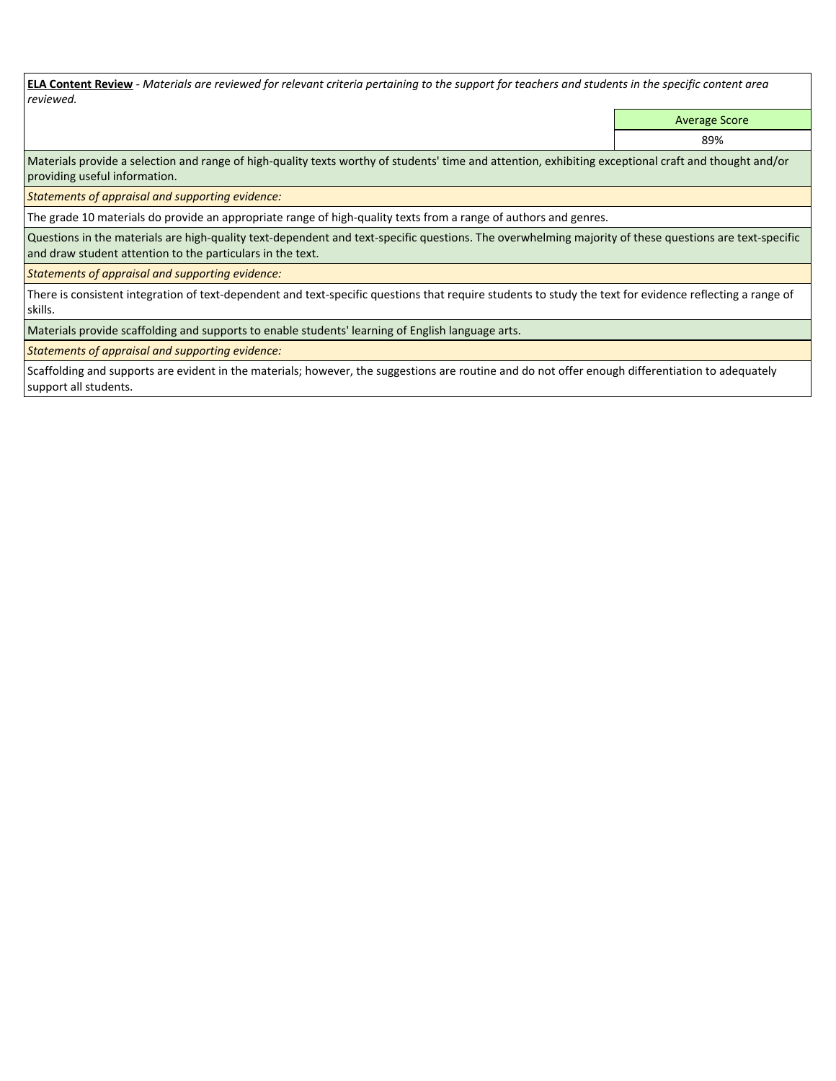**ELA Content Review** *- Materials are reviewed for relevant criteria pertaining to the support for teachers and students in the specific content area reviewed.*

Average Score

89%

Materials provide a selection and range of high-quality texts worthy of students' time and attention, exhibiting exceptional craft and thought and/or providing useful information.

*Statements of appraisal and supporting evidence:* 

The grade 10 materials do provide an appropriate range of high-quality texts from a range of authors and genres.

Questions in the materials are high-quality text-dependent and text-specific questions. The overwhelming majority of these questions are text-specific and draw student attention to the particulars in the text.

*Statements of appraisal and supporting evidence:* 

There is consistent integration of text-dependent and text-specific questions that require students to study the text for evidence reflecting a range of skills.

Materials provide scaffolding and supports to enable students' learning of English language arts.

*Statements of appraisal and supporting evidence:* 

Scaffolding and supports are evident in the materials; however, the suggestions are routine and do not offer enough differentiation to adequately support all students.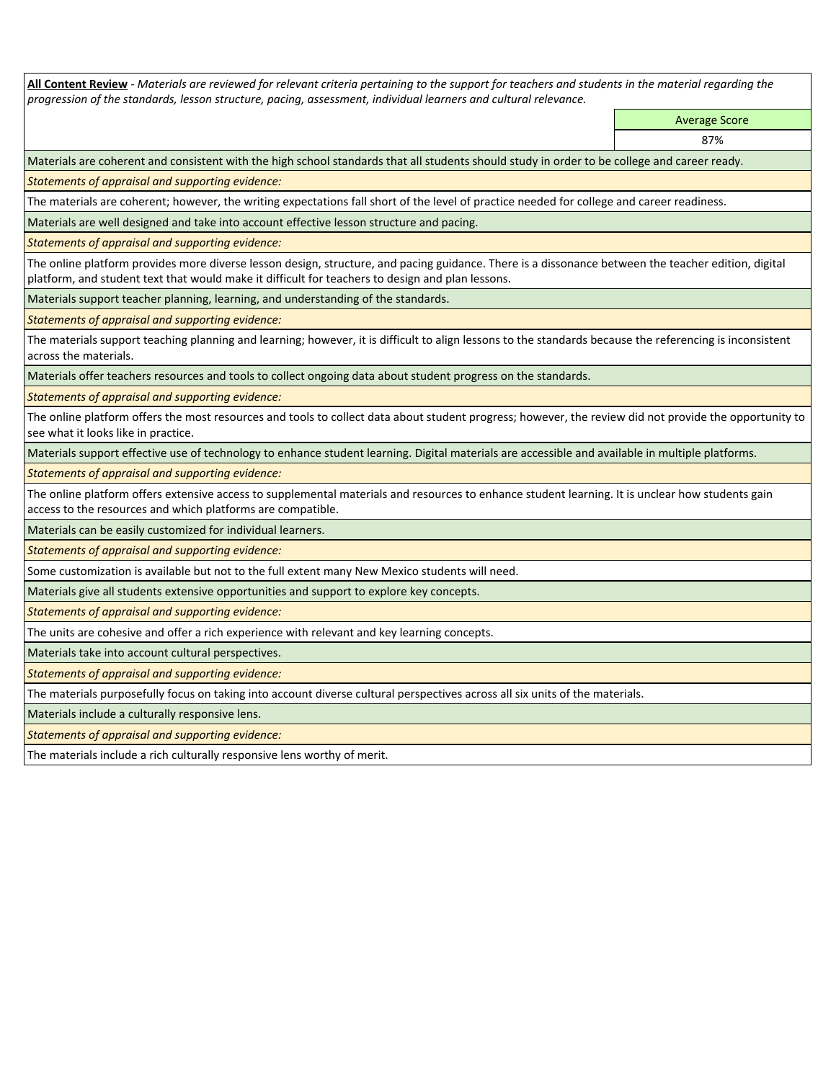**All Content Review** *- Materials are reviewed for relevant criteria pertaining to the support for teachers and students in the material regarding the progression of the standards, lesson structure, pacing, assessment, individual learners and cultural relevance.*

> Average Score 87%

Materials are coherent and consistent with the high school standards that all students should study in order to be college and career ready.

*Statements of appraisal and supporting evidence:*

The materials are coherent; however, the writing expectations fall short of the level of practice needed for college and career readiness.

Materials are well designed and take into account effective lesson structure and pacing.

*Statements of appraisal and supporting evidence:*

The online platform provides more diverse lesson design, structure, and pacing guidance. There is a dissonance between the teacher edition, digital platform, and student text that would make it difficult for teachers to design and plan lessons.

Materials support teacher planning, learning, and understanding of the standards.

*Statements of appraisal and supporting evidence:*

The materials support teaching planning and learning; however, it is difficult to align lessons to the standards because the referencing is inconsistent across the materials.

Materials offer teachers resources and tools to collect ongoing data about student progress on the standards.

*Statements of appraisal and supporting evidence:*

The online platform offers the most resources and tools to collect data about student progress; however, the review did not provide the opportunity to see what it looks like in practice.

Materials support effective use of technology to enhance student learning. Digital materials are accessible and available in multiple platforms.

*Statements of appraisal and supporting evidence:*

The online platform offers extensive access to supplemental materials and resources to enhance student learning. It is unclear how students gain access to the resources and which platforms are compatible.

Materials can be easily customized for individual learners.

*Statements of appraisal and supporting evidence:* 

Some customization is available but not to the full extent many New Mexico students will need.

Materials give all students extensive opportunities and support to explore key concepts.

*Statements of appraisal and supporting evidence:*

The units are cohesive and offer a rich experience with relevant and key learning concepts.

Materials take into account cultural perspectives.

*Statements of appraisal and supporting evidence:*

The materials purposefully focus on taking into account diverse cultural perspectives across all six units of the materials.

Materials include a culturally responsive lens.

*Statements of appraisal and supporting evidence:*

The materials include a rich culturally responsive lens worthy of merit.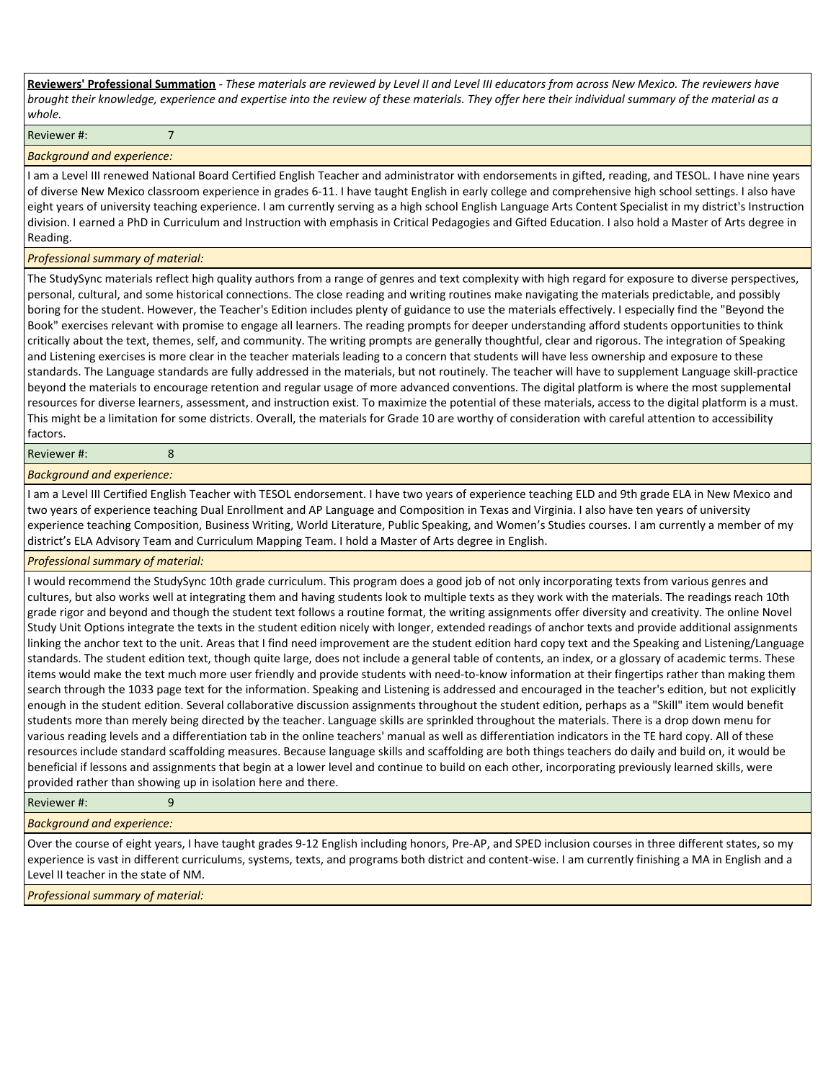**Reviewers' Professional Summation** *- These materials are reviewed by Level II and Level III educators from across New Mexico. The reviewers have brought their knowledge, experience and expertise into the review of these materials. They offer here their individual summary of the material as a whole.*

Reviewer #: 7

### *Background and experience:*

I am a Level III renewed National Board Certified English Teacher and administrator with endorsements in gifted, reading, and TESOL. I have nine years of diverse New Mexico classroom experience in grades 6-11. I have taught English in early college and comprehensive high school settings. I also have eight years of university teaching experience. I am currently serving as a high school English Language Arts Content Specialist in my district's Instruction division. I earned a PhD in Curriculum and Instruction with emphasis in Critical Pedagogies and Gifted Education. I also hold a Master of Arts degree in Reading.

## *Professional summary of material:*

The StudySync materials reflect high quality authors from a range of genres and text complexity with high regard for exposure to diverse perspectives, personal, cultural, and some historical connections. The close reading and writing routines make navigating the materials predictable, and possibly boring for the student. However, the Teacher's Edition includes plenty of guidance to use the materials effectively. I especially find the "Beyond the Book" exercises relevant with promise to engage all learners. The reading prompts for deeper understanding afford students opportunities to think critically about the text, themes, self, and community. The writing prompts are generally thoughtful, clear and rigorous. The integration of Speaking and Listening exercises is more clear in the teacher materials leading to a concern that students will have less ownership and exposure to these standards. The Language standards are fully addressed in the materials, but not routinely. The teacher will have to supplement Language skill-practice beyond the materials to encourage retention and regular usage of more advanced conventions. The digital platform is where the most supplemental resources for diverse learners, assessment, and instruction exist. To maximize the potential of these materials, access to the digital platform is a must. This might be a limitation for some districts. Overall, the materials for Grade 10 are worthy of consideration with careful attention to accessibility factors.

#### Reviewer #: 8

*Background and experience:*

I am a Level III Certified English Teacher with TESOL endorsement. I have two years of experience teaching ELD and 9th grade ELA in New Mexico and two years of experience teaching Dual Enrollment and AP Language and Composition in Texas and Virginia. I also have ten years of university experience teaching Composition, Business Writing, World Literature, Public Speaking, and Women's Studies courses. I am currently a member of my district's ELA Advisory Team and Curriculum Mapping Team. I hold a Master of Arts degree in English.

## *Professional summary of material:*

I would recommend the StudySync 10th grade curriculum. This program does a good job of not only incorporating texts from various genres and cultures, but also works well at integrating them and having students look to multiple texts as they work with the materials. The readings reach 10th grade rigor and beyond and though the student text follows a routine format, the writing assignments offer diversity and creativity. The online Novel Study Unit Options integrate the texts in the student edition nicely with longer, extended readings of anchor texts and provide additional assignments linking the anchor text to the unit. Areas that I find need improvement are the student edition hard copy text and the Speaking and Listening/Language standards. The student edition text, though quite large, does not include a general table of contents, an index, or a glossary of academic terms. These items would make the text much more user friendly and provide students with need-to-know information at their fingertips rather than making them search through the 1033 page text for the information. Speaking and Listening is addressed and encouraged in the teacher's edition, but not explicitly enough in the student edition. Several collaborative discussion assignments throughout the student edition, perhaps as a "Skill" item would benefit students more than merely being directed by the teacher. Language skills are sprinkled throughout the materials. There is a drop down menu for various reading levels and a differentiation tab in the online teachers' manual as well as differentiation indicators in the TE hard copy. All of these resources include standard scaffolding measures. Because language skills and scaffolding are both things teachers do daily and build on, it would be beneficial if lessons and assignments that begin at a lower level and continue to build on each other, incorporating previously learned skills, were provided rather than showing up in isolation here and there.

### Reviewer #: 9

*Background and experience:*

Over the course of eight years, I have taught grades 9-12 English including honors, Pre-AP, and SPED inclusion courses in three different states, so my experience is vast in different curriculums, systems, texts, and programs both district and content-wise. I am currently finishing a MA in English and a Level II teacher in the state of NM.

*Professional summary of material:*